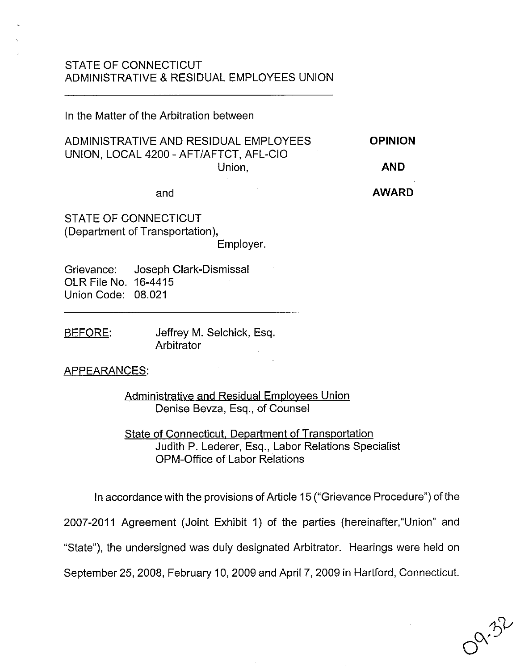## STATE OF CONNECTICUT ADMINISTRATIVE & RESIDUAL EMPLOYEES UNION

In the Matter of the Arbitration between

ADMINISTRATIVE AND RESIDUAL EMPLOYEES UNION, LOCAL 4200 - AFT/AFTCT, AFL-CIO Union, **OPINION AND**

#### and

**AWARD**

STATE OF CONNECTICUT (Department of Transportation),

Employer.

Grievance: OLR File No. 16-4415 Union Code: 08.021 Joseph Clark-Dismissal

BEFORE: Jeffrey M. Selchick, Esq. **Arbitrator** 

## APPEARANCES:

Administrative and Residual Employees Union Denise Bevza, Esq., of Counsel

State of Connecticut, Department of Transportation Judith P. Lederer, Esq., Labor Relations Specialist OPM-Office of Labor Relations

In accordance with the provisions of Article 15 ("Grievance Procedure") of the 2007-2011 Agreement (Joint Exhibit 1) of the parties (hereinafter,"Union" and "State"), the undersigned was duly designated Arbitrator. Hearings were held on September 25,2008, February 10,2009 and April 7, 2009 in Hartford, Connecticut,

 $\alpha^2$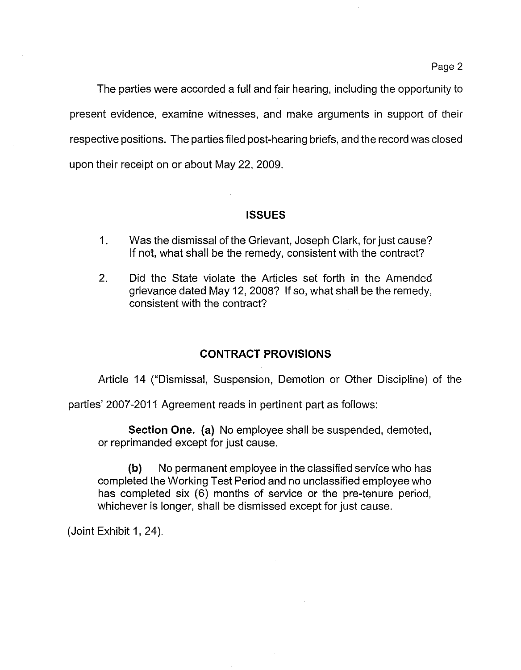The parties were accorded a full and fair hearing, including the opportunity to present evidence, examine witnesses, and make arguments in support of their respective positions. The parties filed post-hearing briefs, and the record was closed upon their receipt on or about May 22, 2009.

## **ISSUES**

- 1. Was the dismissal of the Grievant, Joseph Clark, for just cause? If not, what shall be the remedy, consistent with the contract?
- 2. Did the State violate the Articles set forth in the Amended grievance dated May 12, 2008? If so, what shall be the remedy, consistent with the contract?

# **CONTRACT PROVISIONS**

Article 14 ("Dismissal, Suspension, Demotion or Other Discipline) of the

parties' 2007-2011 Agreement reads in pertinent part as follows:

**Section One.** (a) No employee shall be suspended, demoted, or reprimanded except for just cause.

**(b)** No permanent employee in the classified service who has completed the Working Test Period and no unclassified employee who has completed six (6) months of service or the pre-tenure period, whichever is longer, shall be dismissed except for just cause.

(Joint Exhibit 1, 24).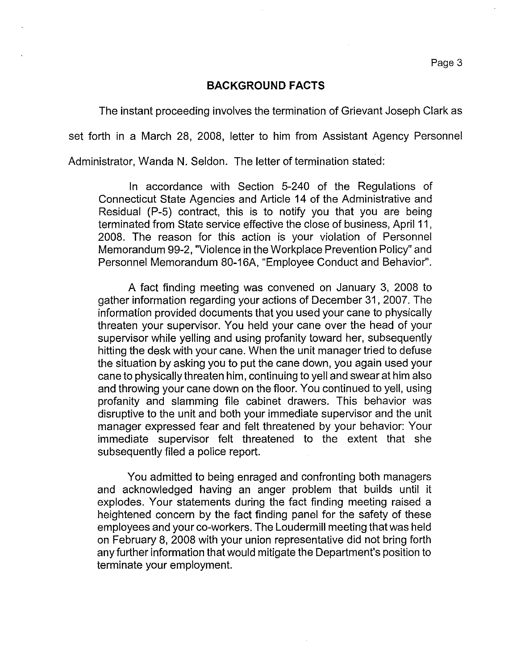#### **BACKGROUND FACTS**

The instant proceeding involves the termination of Grievant Joseph Clark as

set forth in a March 28, 2008, letter to him from Assistant Agency Personnel

Administrator, Wanda N. Seldon. The letter of termination stated:

In accordance with Section 5-240 of the Regulations of Connecticut State Agencies and Article 14 of the Administrative and Residual (P-5) contract, this is to notify you that you are being terminated from State service effective the close of business, April 11 , 2008. **The** reason for this action is your violation of Personnel Memorandum 99-2, "Violence in the Workplace Prevention Policy" and Personnel Memorandum 80-16A, "Employee Conduct and Behavior".

A fact finding meeting was convened on January 3, 2008 to gather information regarding your actions of December 31, 2007. The information provided documents that you used your cane to physically threaten your supervisor. You held your cane over the head of your supervisor while yelling and using profanity toward her, subsequently hitting the desk with your cane. When the unit manager tried to defuse the situation by asking you to put the cane down, you again used your cane to physically threaten him, continuing to yell and swear at him also and throwing your cane down on the floor. You continued to yell, using profanity and slamming file cabinet drawers. This behavior was disruptive to the unit and both your immediate supervisor and the unit manager expressed fear and felt threatened by your behavior: Your immediate supervisor felt threatened to the extent that she subsequently filed a police report.

You admitted to being enraged and confronting both managers and acknowledged having an anger problem that builds until it explodes. Your statements during the fact finding meeting raised a heightened concern by the fact finding panel for the safety of these employees and your co-workers. The Loudermill meeting that was held on February 8, 2008 with your union representative did not bring forth any further information that would mitigate the Department's position to terminate your employment.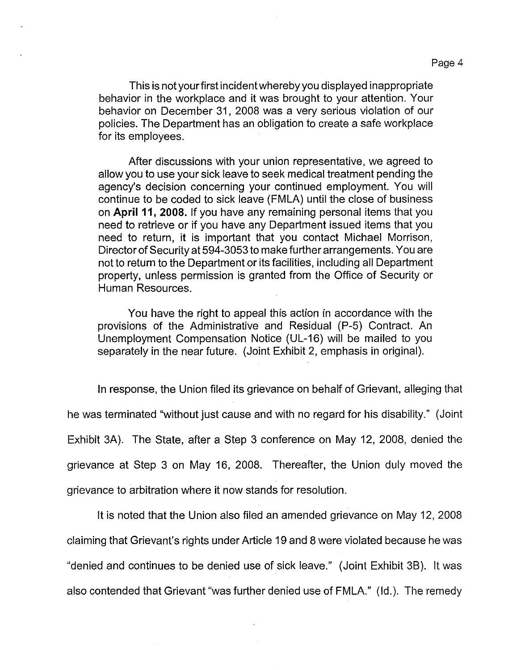This is not yourfirst incidentwherebyyou displayed inappropriate behavior in the workplace and it was brought to your attention. Your behavior on December 31, 2008 was a very serious violation of our policies. The Department has an obligation to create a safe workplace for its employees.

After discussions with your union representative, we agreed to allow you to use your sick leave to seek medical treatment pending the agency's decision concerning your continued employment. You will continue to be coded to sick leave (FMLA) until the close of business on **April 11, 2008.** If you have any remaining personal items that you need to retrieve or if you have any Department issued items that you need to return, it is important that you contact Michael Morrison, Director of Security at 594-3053 to make further arrangements. You are not to return to the Department or its facilities, including all Department property, unless permission is granted from the Office of Security or Human Resources.

You have the right to appeal this action in accordance with the provisions of the Administrative and Residual (P-5) Contract. An Unemployment Compensation Notice (UL-16) will be mailed to you separately in the near future. (Joint Exhibit 2, emphasis in original).

In response, the Union filed its grievance on behalf of Grievant, alleging that he was terminated "without just cause and with no regard for his disability." (Joint Exhibit 3A). The State, after a Step 3 conference on May 12, 2008, denied the grievance at Step 3 on May 16, 2008. Thereafter, the Union duly moved the grievance to arbitration where it now stands for resolution.

It is noted that the Union also filed an amended grievance on May 12, 2008 claiming that Grievant's rights under Article 19 and 8 were violated because he was "denied and continues to be denied use of sick leave." (Joint Exhibit 3B). It was also contended that Grievant "was further denied use of FMLA." (Id.). The remedy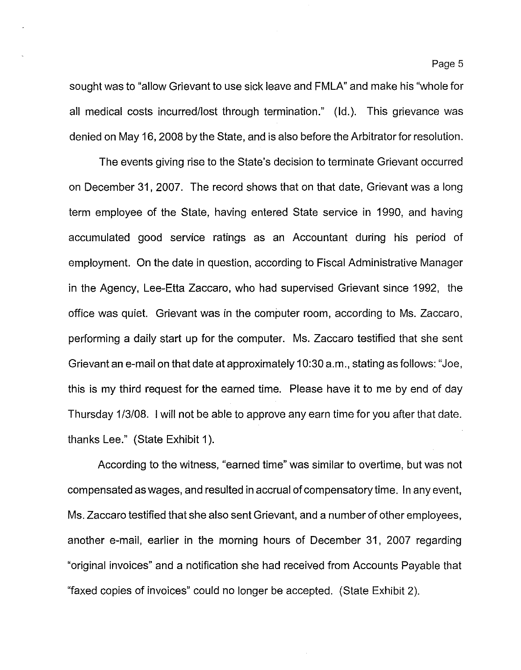sought was to "allow Grievant to use sick leave and FMLA" and make his "whole for all medical costs incurred/lost through termination." (Id.). This grievance was denied on May 16, 2008 by the State, and is also before the Arbitrator for resolution.

The events giving rise to the State's decision to terminate Grievant occurred on December 31,2007. The record shows that on that date, Grievant was a long term employee of the State, having entered State service in 1990, and having accumulated good service ratings as an Accountant during his period of employment. On the date in question, according to Fiscal Administrative Manager in the Agency, Lee-Etta Zaccaro, who had supervised Grievant since 1992, the office was quiet. Grievant was in the computer room, according to Ms. Zaccaro, performing a daily start up for the computer. Ms. Zaccaro testified that she sent Grievant an e-mail on that date at approximately 10:30 a.m., stating as follows: "Joe, this is my third request for the earned time. Please have it to me by end of day Thursday 1/3/08. I will not be able to approve any earn time for you after that date. thanks Lee." (State Exhibit 1).

According to the witness, "earned time" was similar to overtime, but was not compensated as wages, and resulted in accrual of compensatory time. In any event, Ms. Zaccaro testified that she also sent Grievant, and a number of other employees, another e-mail, earlier in the morning hours of December 31, 2007 regarding "original invoices" and a notification she had received from Accounts Payable that "faxed copies of invoices" could no longer be accepted. (State Exhibit 2).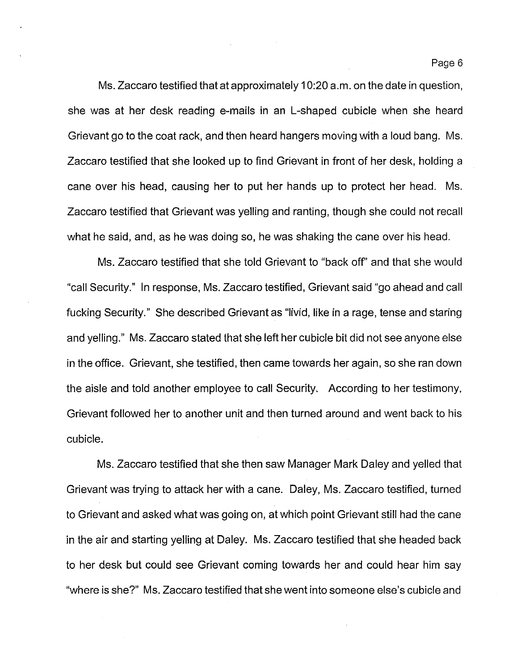Ms. Zaccaro testified that at approximately 10:20 a.m. on the date in question, she was at her desk reading e-mails in an L-shaped cubicle when she heard Grievant go to the coat rack, and then heard hangers moving with a loud bang. Ms. Zaccaro testified that she looked up to find Grievant in front of her desk, holding a cane over his head, causing her to put her hands up to protect her head. Ms. Zaccaro testified that Grievant was yelling and ranting, though she could not recall what he said, and, as he was doing so, he was shaking the cane over his head.

Ms. Zaccaro testified that she told Grievant to "back off' and that she would "call Security." In response, Ms. Zaccaro testified, Grievant said "go ahead and call fucking Security." She described Grievant as "livid, like in a rage, tense and staring and yelling." Ms. Zaccaro stated that she left her cubicle bit did not see anyone else in the office. Grievant, she testified, then came towards her again, so she ran down the aisle and told another employee to call Security. According to her testimony, Grievant followed her to another unit and then turned around and went back to his cubicle.

Ms. Zaccaro testified that she then saw Manager Mark Daley and yelled that Grievant was trying to attack her with a cane. Daley, Ms. Zaccaro testified, turned to Grievant and asked what was going on, at which point Grievant still had the cane in the air and starting yelling at Daley. Ms. Zaccaro testified that she headed back to her desk but could see Grievant coming towards her and could hear him say "where is she?" Ms. Zaccaro testified that she went into someone else's cubicle and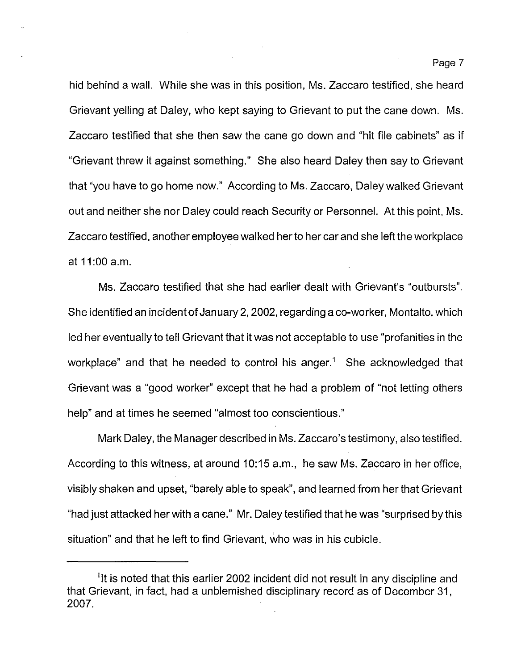hid behind a wall. While she was in this position, Ms. Zaccaro testified, she heard Grievant yelling at Daley, who kept saying to Grievant to put the cane down. Ms. Zaccaro testified that she then saw the cane go down and "hit file cabinets" as if "Grievant threw it against something." She also heard Daley then say to Grievant that "you have to go home now." According to Ms. Zaccaro, Daley walked Grievant out and neither she nor Daley could reach Security or Personnel. At this point, Ms. Zaccaro testified, another employee walked her to her car and she left the workplace at 11 :00 a.m.

Ms. Zaccaro testified that she had earlier dealt with Grievant's "outbursts". She identified an incident of January 2, 2002, regarding a co-worker, Montalto, which led her eventually to tell Grievant that it was not acceptable to use "profanities in the workplace" and that he needed to control his anger.<sup>1</sup> She acknowledged that Grievant was a "good worker" except that he had a problem of "not letting others help" and at times he seemed "almost too conscientious."

Mark Daley, the Manager described in Ms. Zaccaro's testimony, also testified. According to this witness, at around 10:15 a.m., he saw Ms. Zaccaro in her office, visibly shaken and upset, "barely able to speak", and learned from her that Grievant "had just attacked her with a cane." Mr. Daley testified that he was "surprised by this situation" and that he left to find Grievant, who was in his cubicle.

 $<sup>1</sup>$ It is noted that this earlier 2002 incident did not result in any discipline and</sup> that Grievant, in fact, had a unblemished disciplinary record as of December 31, 2007.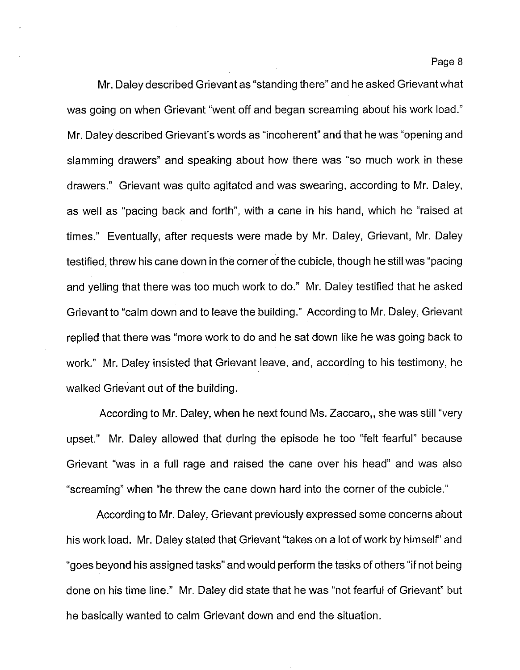Mr. Daley described Grievant as "standing there" and he asked Grievant what was going on when Grievant "went off and began screaming about his work load." Mr. Daley described Grievant's words as "incoherent" and that he was "opening and slamming drawers" and speaking about how there was "so much work in these drawers." Grievant was quite agitated and was swearing, according to Mr. Daley, as well as "pacing back and forth", with a cane in his hand, which he "raised at times." Eventually, after requests were made by Mr. Daley, Grievant, Mr. Daley testified, threw his cane down in the corner of the cubicle, though he still was "pacing and yelling that there was too much work to do." Mr. Daley testified that he asked Grievant to "calm down and to leave the building." According to Mr. Daley, Grievant replied that there was "more work to do and he sat down like he was going back to work." Mr. Daley insisted that Grievant leave, and, according to his testimony, he walked Grievant out of the building.

According to Mr. Daley, when he next found Ms. Zaccaro,, she was still "very upset." Mr. Daley allowed that during the episode he too "felt fearful" because Grievant "was in a full rage and raised the cane over his head" and was also "screaming" when "he threw the cane down hard into the corner of the cubicle."

According to Mr. Daley, Grievant previously expressed some concerns about his work load. Mr. Daley stated that Grievant "takes on a lot of work by himself' and "goes beyond his assigned tasks" and would perform the tasks of others "if not being done on his time line." Mr. Daley did state that he was "not fearful of Grievant" but he basically wanted to calm Grievant down and end the situation.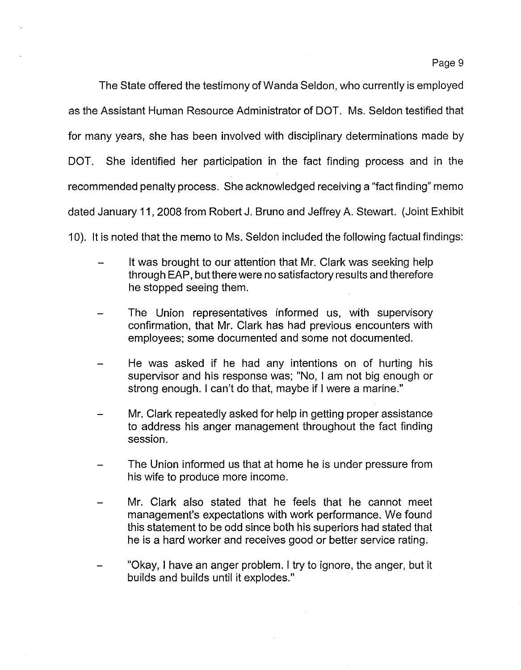Page 9

The State offered the testimony of Wanda Seldon, who currently is employed as the Assistant Human Resource Administrator of DOT. Ms. Seldon testified that for many years, she has been involved with disciplinary determinations made by DOT. She identified her participation in the fact finding process and in the recommended penalty process. She acknowledged receiving a "fact finding" memo dated January 11,2008 from Robert J. Bruno and Jeffrey A. Stewart. (Joint Exhibit

10). It is noted that the memo to Ms. Seldon included the following factual findings:

- It was brought to our attention that Mr. Clark was seeking help through EAP, but there were no satisfactory results and therefore he stopped seeing them.
- The Union representatives informed us, with supervisory confirmation, that Mr. Clark has had previous encounters with employees; some documented and some not documented.
- He was asked if he had any intentions on of hurting his supervisor and his response was; "No, I am not big enough or strong enough. I can't do that, maybe if I were a marine."
- Mr. Clark repeatedly asked for help in getting proper assistance to address his anger management throughout the fact finding session.
- The Union informed us that at home he is under pressure from his wife to produce more income.
- Mr. Clark also stated that he feels that he cannot meet management's expectations with work performance. We found this statement to be odd since both his superiors had stated that he is a hard worker and receives good or better service rating.
- "Okay, I have an anger problem. I try to ignore, the anger, but it builds and builds until it explodes."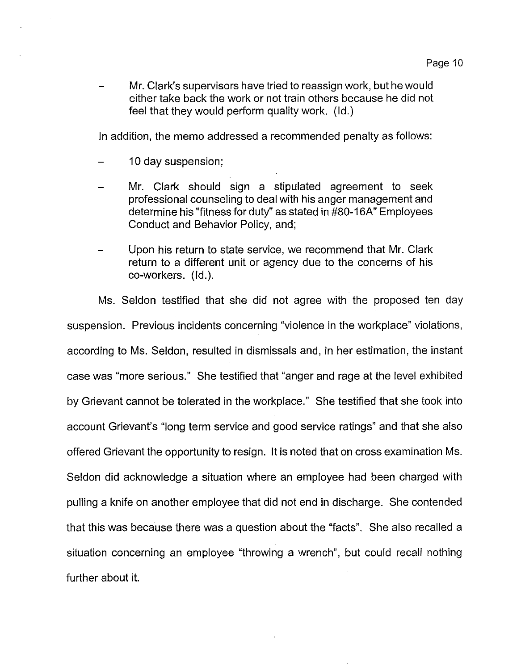Mr. Clark's supervisors have tried to reassign work, but he would either take back the work or not train others because he did not feel that they would perform quality work. (ld.)

In addition, the memo addressed a recommended penalty as follows:

- 10 day suspension;
- Mr. Clark should sign a stipulated agreement to seek professional counseling to deal with his anger management and determine his "fitness for duty" as stated in #80-16A" Employees Conduct and Behavior Policy, and;
- Upon his return to state service, we recommend that Mr. Clark return to a different unit or agency due to the concerns of his co-workers. (ld.).

Ms. Seldon testified that she did not agree with the proposed ten day suspension. Previous incidents concerning "violence in the workplace" violations, according to Ms. Seldon, resulted in dismissals and, in her estimation, the instant case was "more serious." She testified that "anger and rage at the level exhibited by Grievant cannot be tolerated in the workplace." She testified that she took into account Grievant's "long term service and good service ratings" and that she also offered Grievant the opportunity to resign. It is noted that on cross examination Ms. Seldon did acknowledge a situation where an employee had been charged with pulling a knife on another employee that did not end in discharge. She contended that this was because there was a question about the "facts". She also recalled a situation concerning an employee "throwing a wrench", but could recall nothing further about it.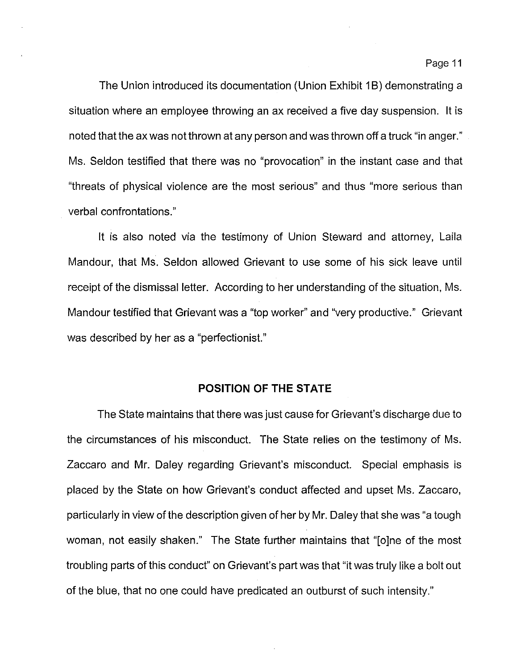The Union introduced its documentation (Union Exhibit 1B) demonstrating a situation where an employee throwing an ax received a five day suspension. It is noted that the ax was not thrown at any person and was thrown off a truck "in anger." Ms. Seldon testified that there was no "provocation" in the instant case and that "threats of physical violence are the most serious" and thus "more serious than verbal confrontations."

It is also noted via the testimony of Union Steward and attorney, Laila Mandour, that Ms. Seldon allowed Grievant to use some of his sick leave until receipt of the dismissal letter. According to her understanding of the situation, Ms. Mandour testified that Grievant was a "top worker" and "very productive." Grievant was described by her as a "perfectionist."

#### **POSITION OF THE STATE**

The State maintains that there was just cause for Grievant's discharge due to the circumstances of his misconduct. The State relies on the testimony of Ms. Zaccaro and Mr. Daley regarding Grievant's misconduct. Special emphasis is placed by the State on how Grievant's conduct affected and upset Ms. Zaccaro, particularly in view of the description given of her by Mr. Daley that she was "a tough woman, not easily shaken." The State further maintains that "[o]ne of the most troubling parts of this conduct" on Grievant's part was that "it was truly like a bolt out of the blue, that no one could have predicated an outburst of such intensity."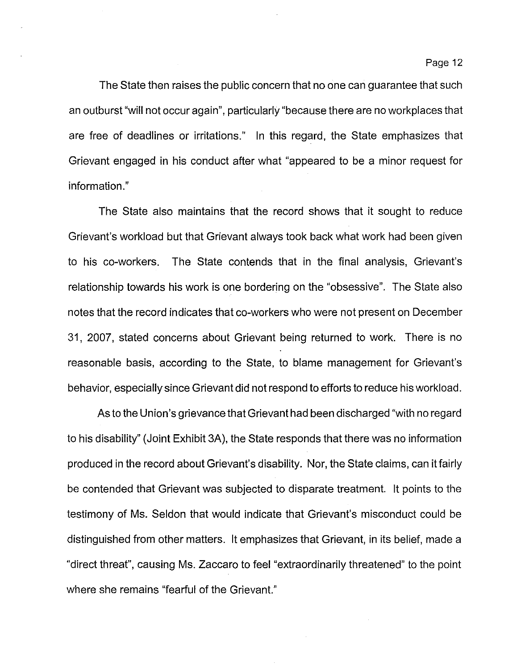The State then raises the public concern that no one can guarantee that such an outburst "will not occur again", particularly "because there are no workplaces that are free of deadlines or irritations." In this regard, the State emphasizes that Grievant engaged in his conduct after what "appeared to be a minor request for information."

The State also maintains that the record shows that it sought to reduce Grievant's workload but that Grievant always took back what work had been given to his co-workers. The State contends that in the final analysis, Grievant's relationship towards his work is one bordering on the "obsessive". The State also notes that the record indicates that co-workers who were not present on December 31,2007, stated concerns about Grievant being returned to work. There is no reasonable basis, according to the State, to blame management for Grievant's behavior, especially since Grievant did not respond to efforts to reduce his workload.

As to the Union's grievance that Grievant had been discharged "with no regard to his disability" (Joint Exhibit 3A), the State responds that there was no information produced in the record about Grievant's disability. Nor, the State claims, can it fairly be contended that Grievant was subjected to disparate treatment. It points to the testimony of Ms. Seldon that would indicate that Grievant's misconduct could be distinguished from other matters. It emphasizes that Grievant, in its belief, made a "direct threat", causing Ms. Zaccaro to feel "extraordinarily threatened" to the point where she remains "fearful of the Grievant."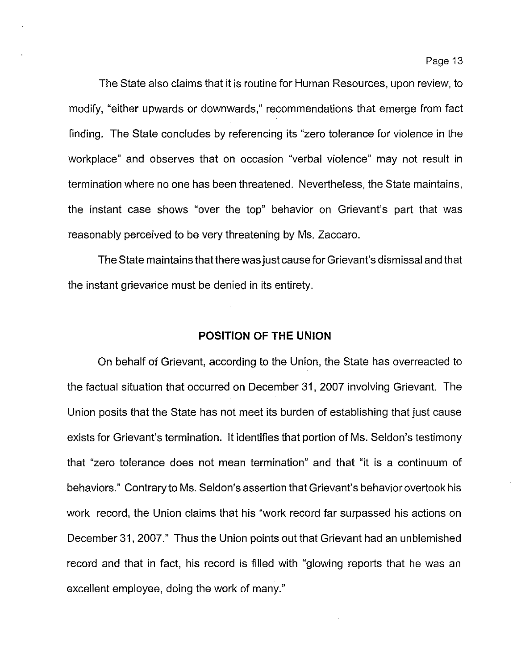The State also claims that it is routine for Human Resources, upon review, to modify, "either upwards or downwards," recommendations that emerge from fact finding. The State concludes by referencing its "zero tolerance for violence in the workplace" and observes that on occasion "verbal violence" may not result in termination where no one has been threatened. Nevertheless, the State maintains, the instant case shows "over the top" behavior on Grievant's part that was reasonably perceived to be very threatening by Ms. Zaccaro.

The State maintains that there was just cause for Grievant's dismissal and that the instant grievance must be denied in its entirety.

### **POSITION OF THE UNION**

On behalf of Grievant, according to the Union, the State has overreacted to the factual situation that occurred on December 31, 2007 involving Grievant. The Union posits that the State has not meet its burden of establishing that just cause exists for Grievant's termination. It identifies that portion of Ms. Seldon's testimony that "zero tolerance does not mean termination" and that "it is a continuum of behaviors." Contrary to Ms. Seldon's assertion that Grievant's behavior overtook his work record, the Union claims that his "work record far surpassed his actions on December 31,2007." Thus the Union points out that Grievant had an unblemished record and that in fact, his record is filled with "glowing reports that he was an excellent employee, doing the work of many."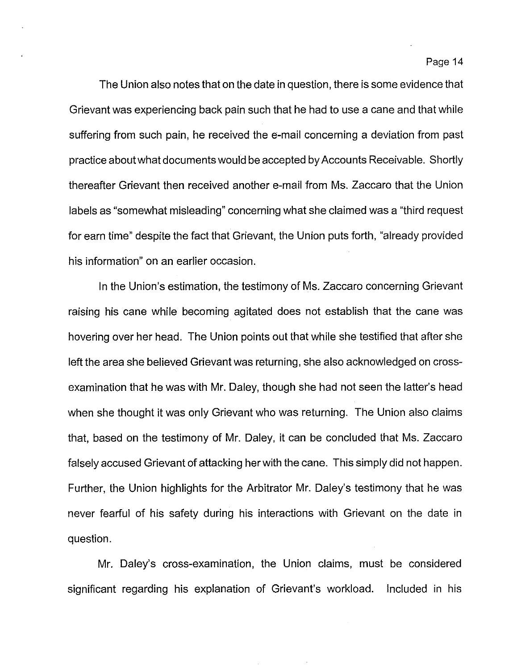The Union also notes that on the date in question, there is some evidence that Grievant was experiencing back pain such that he had to use a cane and that while suffering from such pain, he received the e-mail concerning a deviation from past practice about what documents would be accepted byAccounts Receivable. Shortly thereafter Grievant then received another e-mail from Ms. Zaccaro that the Union labels as "somewhat misleading" concerning what she claimed was a "third request for earn time" despite the fact that Grievant, the Union puts forth, "already provided his information" on an earlier occasion.

In the Union's estimation, the testimony of Ms. Zaccaro concerning Grievant raising his cane while becoming agitated does not establish that the cane was hovering over her head. The Union points out that while she testified that after she left the area she believed Grievant was returning, she also acknowledged on crossexamination that he was with Mr. Daley, though she had not seen the latter's head when she thought it was only Grievant who was returning. The Union also claims that, based on the testimony of Mr. Daley, it can be concluded that Ms. Zaccaro falsely accused Grievant of attacking her with the cane. This simply did not happen. Further, the Union highlights for the Arbitrator Mr. Daley's testimony that he was never fearful of his safety during his interactions with Grievant on the date in question.

Mr. Daley's cross-examination, the Union claims, must be considered significant regarding his explanation of Grievant's workload. Included in his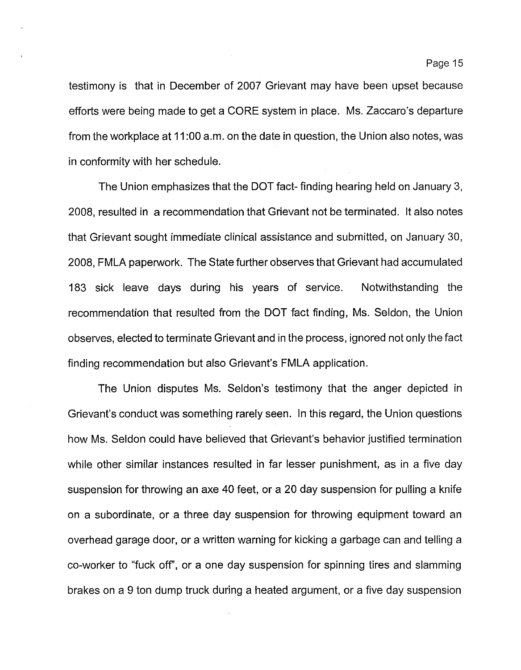testimony is that in December of 2007 Grievant may have been upset because efforts were being made to get a CORE system in place. Ms. Zaccaro's departure from the workplace at 11 :00 a.m. on the date in question, the Union also notes, was in conformity with her schedule.

The Union emphasizes that the DOT fact- finding hearing held on January 3, 2008, resulted in a recommendation that Grievant not be terminated. It also notes that Grievant sought immediate clinical assistance and submitted, on January 30, 2008, FMLA paperwork. The State further observes that Grievant had accumulated 183 sick leave days during his years of service. Notwithstanding the recommendation that resulted from the DOT fact finding, Ms. Seldon, the Union observes, elected to terminate Grievant and in the process, ignored not only the fact finding recommendation but also Grievant's FMLA application.

The Union disputes Ms. Seldon's testimony that the anger depicted in Grievant's conduct was something rarely seen. In this regard, the Union questions how Ms. Seldon could have believed that Grievant's behavior justified termination while other similar instances resulted in far lesser punishment, as in a five day suspension for throwing an axe 40 feet, or a 20 day suspension for pulling a knife on a subordinate, or a three day suspension for throwing equipment toward an overhead garage door, or a written warning for kicking a garbage can and telling a co-worker to "fuck off', or a one day suspension for spinning tires and slamming brakes on a 9 ton dump truck during a heated argument, or a five day suspension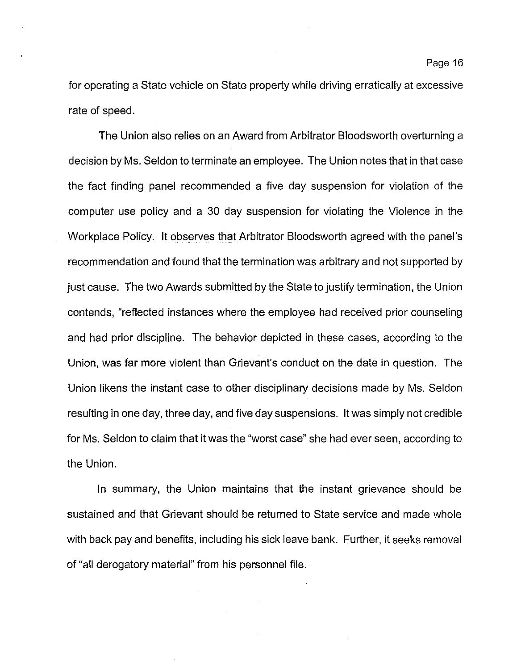for operating a State vehicle on State property while driving erratically at excessive rate of speed.

The Union also relies on an Award from Arbitrator Bloodsworth overturning a decision by Ms. Seldon to terminate an employee. The Union notes that in that case the fact finding panel recommended a five day suspension for violation of the computer use policy and a 30 day suspension for violating the Violence in the Workplace Policy. It observes that Arbitrator Bloodsworth agreed with the panel's recommendation and found that the termination was arbitrary and not supported by just cause. The two Awards submitted by the State to justify termination, the Union contends, "reflected instances where the employee had received prior counseling and had prior discipline. The behavior depicted in these cases, according to the Union, was far more violent than Grievant's conduct on the date in question. The Union likens the instant case to other disciplinary decisions made by Ms. Seldon resulting in one day, three day, and five day suspensions. It was simply not credible for Ms. Seldon to claim that it was the "worst case" she had ever seen, according to the Union.

In summary, the Union maintains that the instant grievance should be sustained and that Grievant should be returned to State service and made whole with back pay and benefits, including his sick leave bank. Further, it seeks removal of "all derogatory material" from his personnel file.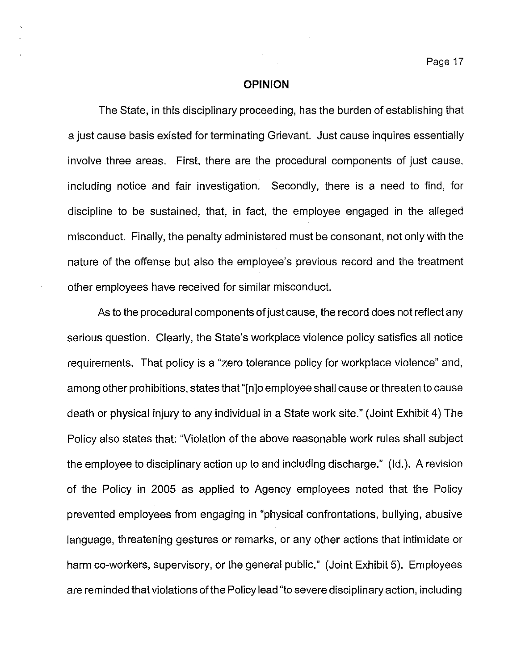### **OPINION**

The State, in this disciplinary proceeding, has the burden of establishing that a just cause basis existed for terminating Grievant. Just cause inquires essentially involve three areas. First, there are the procedural components of just cause, including notice and fair investigation. Secondly, there is a need to find, for discipline to be sustained, that, in fact, the employee engaged in the alleged misconduct. Finally, the penalty administered must be consonant, not only with the nature of the offense but also the employee's previous record and the treatment other employees have received for similar misconduct.

As to the procedural components of just cause, the record does not reflect any serious question. Clearly, the State's workplace violence policy satisfies all notice requirements. That policy is a "zero tolerance policy for workplace violence" and, among other prohibitions, states that "[n]o employee shall cause orthreaten to cause death or physical injury to any individual in a State work site." (Joint Exhibit 4) The Policy also states that: "Violation of the above reasonable work rules shall subject the employee to disciplinary action up to and including discharge." (Id.). A revision of the Policy in 2005 as applied to Agency employees noted that the Policy prevented employees from engaging in "physical confrontations, bullying, abusive language, threatening gestures or remarks, or any other actions that intimidate or harm co-workers, supervisory, or the general public." (Joint Exhibit 5). Employees are reminded that violations of the Policy lead "to severe disciplinary action, including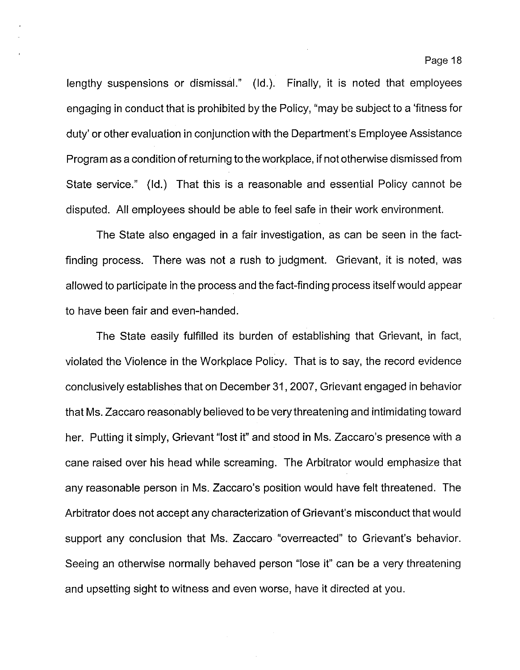lengthy suspensions or dismissal." (Id.). Finally, it is noted that employees engaging in conduct that is prohibited by the Policy, "may be subject to a 'fitness for duty' or other evaluation in conjunction with the Department's Employee Assistance Program as a condition ofreturning to the workplace, if not otherwise dismissed from State service." (Id.) That this is a reasonable and essential Policy cannot be disputed. All employees should be able to feel safe in their work environment.

The State also engaged in a fair investigation, as can be seen in the factfinding process. There was not a rush to judgment. Grievant, it is noted, was allowed to participate in the process and the fact-finding process itselfwould appear to have been fair and even-handed.

The State easily fulfilled its burden of establishing that Grievant, in fact, violated the Violence in the Workplace Policy. That is to say, the record evidence conclusively establishes that on December 31,2007, Grievant engaged in behavior that Ms. Zaccaro reasonably believed to be very threatening and intimidating toward her. Putting it simply, Grievant "lost it" and stood in Ms. Zaccaro's presence with a cane raised over his head while screaming. The Arbitrator would emphasize that any reasonable person in Ms. Zaccaro's position would have felt threatened. The Arbitrator does not accept any characterization of Grievant's misconduct that would support any conclusion that Ms. Zaccaro "overreacted" to Grievant's behavior. Seeing an otherwise normally behaved person "lose it" can be a very threatening and upsetting sight to witness and even worse, have it directed at you.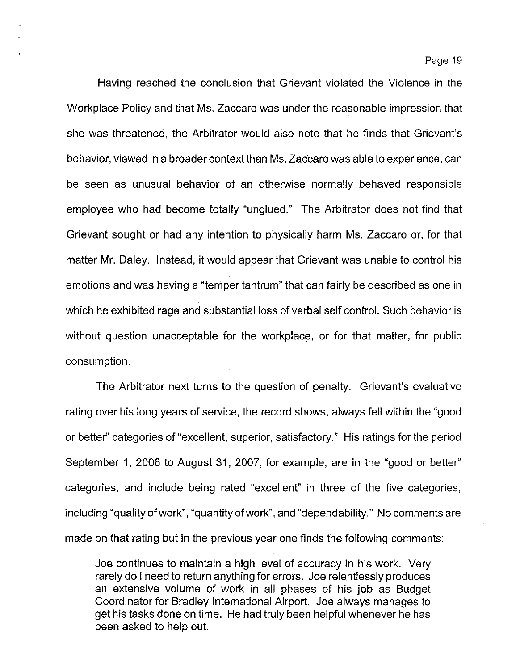Having reached the conclusion that Grievant violated the Violence in the Workplace Policy and that Ms. Zaccaro was under the reasonable impression that she was threatened, the Arbitrator would also note that he finds that Grievant's behavior, viewed in a broader context than Ms. Zaccaro was able to experience, can be seen as unusual behavior of an otherwise normally behaved responsible employee who had become totally "unglued:' The Arbitrator does not find that Grievant sought or had any intention to physically harm Ms. Zaccaro or, for that matter Mr. Daley. Instead, it would appear that Grievant was unable to control his emotions and was having a "temper tantrum" that can fairly be described as one in which he exhibited rage and substantial loss of verbal self control. Such behavior is without question unacceptable for the workplace, or for that matter, for public consumption.

The Arbitrator next turns to the question of penalty. Grievant's evaluative rating over his long years of service, the record shows, always fell within the "good or better" categories of "excellent, superior, satisfactory:' His ratings for the period September 1, 2006 to August 31, 2007, for example, are in the "good or better" categories, and include being rated "excellent" in three of the five categories, including "quality of work", "quantity of work", and "dependability." No comments are made on that rating but in the previous year one finds the following comments:

Joe continues to maintain a high level of accuracy in his work. Very rarely do I need to return anything for errors. Joe relentlessly produces an extensive volume of work in all phases of his job as Budget Coordinator for Bradley International Airport. Joe always manages to get his tasks done on time. He had truly been helpful whenever he has been asked to help out.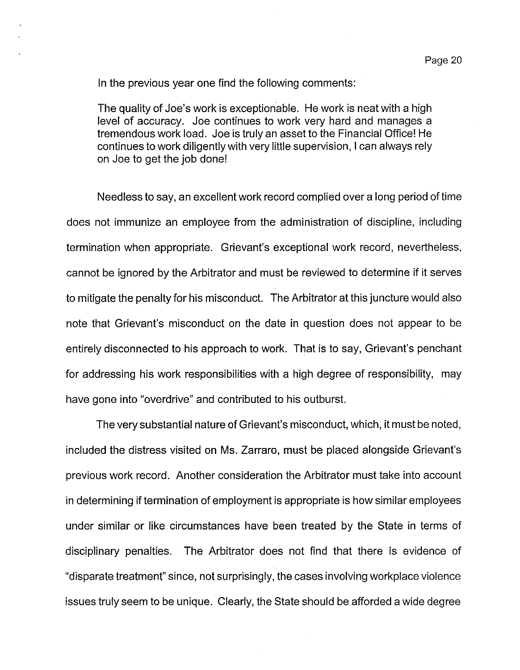In the previous year one find the following comments:

The quality of Joe's work is exceptionable. He work is neat with a high level of accuracy. Joe continues to work very hard and manages a tremendous work load. Joe is truly an asset to the Financial Office! He continues to work diligently with very little supervision, I can always rely on Joe to get the job done!

Needless to say, an excellent work record complied over a long period of time does not immunize an employee from the administration of discipline, including termination when appropriate. Grievant's exceptional work record, nevertheless, cannot be ignored by the Arbitrator and must be reviewed to determine if it serves to mitigate the penalty for his misconduct. The Arbitrator at this juncture would also note that Grievant's misconduct on the date in question does not appear to be entirely disconnected to his approach to work. That is to say, Grievant's penchant for addressing his work responsibilities with a high degree of responsibility, may have gone into "overdrive" and contributed to his outburst.

The very substantial nature of Grievant's misconduct, which, it must be noted, included the distress visited on Ms. Zarraro, must be placed alongside Grievant's previous work record. Another consideration the Arbitrator must take into account in determining if termination of employment is appropriate is how similar employees under similar or like circumstances have been treated by the State in terms of disciplinary penalties. The Arbitrator does not find that there is evidence of "disparate treatment" since, not surprisingly, the cases involving workplace violence issues truly seem to be unique. Clearly, the State should be afforded a wide degree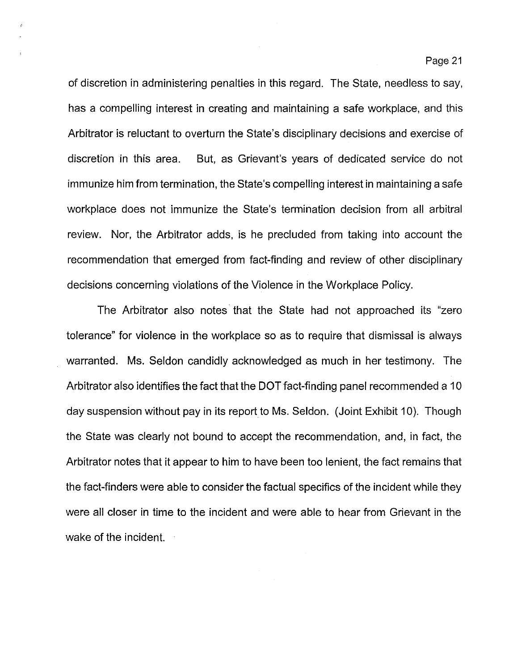of discretion in administering penalties in this regard. The State, needless to say, has a compelling interest in creating and maintaining a safe workplace, and this Arbitrator is reluctant to overturn the State's disciplinary decisions and exercise of discretion in this area. But, as Grievant's years of dedicated service do not immunize him from termination, the State's compelling interest in maintaining a safe workplace does not immunize the State's termination decision from all arbitral review. Nor, the Arbitrator adds, is he precluded from taking into account the recommendation that emerged from fact-finding and review of other disciplinary decisions concerning violations of the Violence in the Workplace Policy.

The Arbitrator also notes that the State had not approached its "zero tolerance" for violence in the workplace so as to require that dismissal is always warranted. Ms. Seldon candidly acknowledged as much in her testimony. The Arbitrator also identifies the fact that the **DOT** fact-finding panel recommended a 10 day suspension without pay in its report to Ms. Seldon. (Joint Exhibit 10). Though the State was clearly not bound to accept the recommendation, and, in fact, the Arbitrator notes that it appear to him to have been too lenient, the fact remains that the fact-finders were able to consider the factual specifics of the incident while they were all closer in time to the incident and were able to hear from Grievant in the wake of the incident.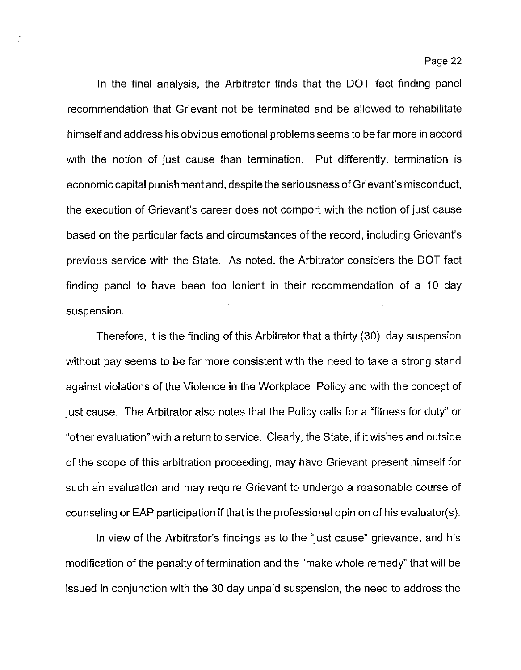In the final analysis, the Arbitrator finds that the DOT fact finding panel recommendation that Grievant not be terminated and be allowed to rehabilitate himselfand address his obvious emotional problems seems to be far more in accord with the notion of just cause than termination. Put differently, termination is economic capital punishment and, despite the seriousness of Grievant's misconduct, the execution of Grievant's career does not comport with the notion of just cause based on the particular facts and circumstances of the record, including Grievant's previous service with the State. As noted, the Arbitrator considers the DOT fact finding panel to have been too lenient in their recommendation of a 10 day suspension.

Therefore, it is the finding of this Arbitrator that a thirty (30) day suspension without pay seems to be far more consistent with the need to take a strong stand against violations of the Violence in the Workplace Policy and with the concept of just cause. The Arbitrator also notes that the Policy calls for a "fitness for duty" or "other evaluation" with a return to service. Clearly, the State, if it wishes and outside of the scope of this arbitration proceeding, may have Grievant present himself for such an evaluation and may require Grievant to undergo a reasonable course of counseling or EAP participation if that is the professional opinion of his evaluator(s).

In view of the Arbitrator's findings as to the "just cause" grievance, and his modification of the penalty of termination and the "make whole remedy" that will be issued in conjunction with the 30 day unpaid suspension, the need to address the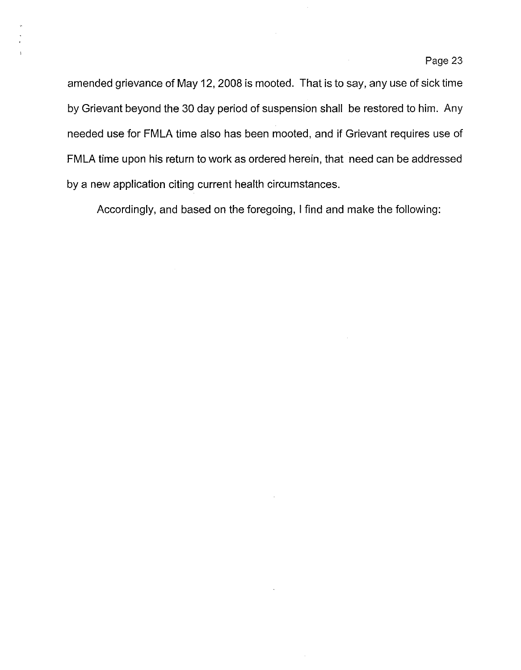amended grievance of May 12, 2008 is mooted. That is to say, any use of sick time by Grievant beyond the 30 day period of suspension shall be restored to him. Any needed use for FMLA time also has been mooted, and if Grievant requires use of FMLA time upon his return to work as ordered herein, that need can be addressed by a new application citing current health circumstances.

Accordingly, and based on the foregoing, I find and make the following: